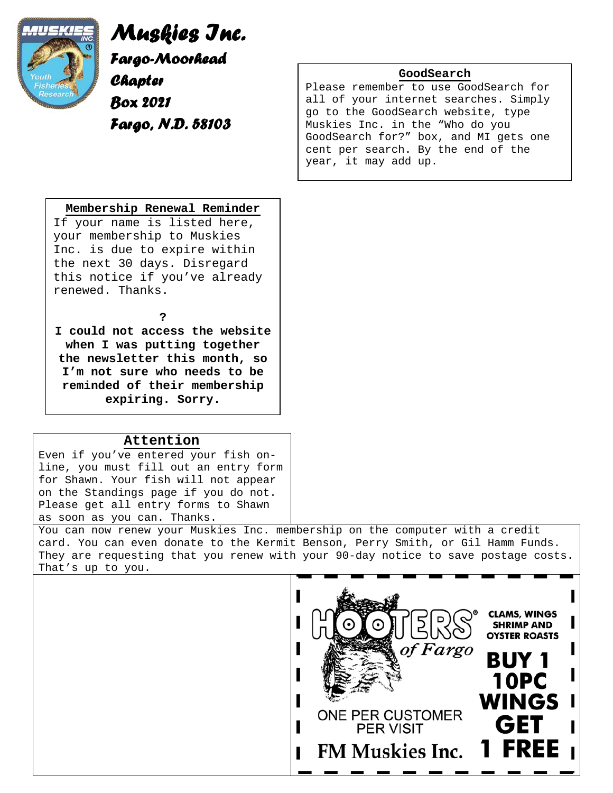

*Muskies Inc. Fargo-Moorhead Chapter Box 2021 Fargo, N.D. 58103*

## **GoodSearch**

Please remember to use GoodSearch for all of your internet searches. Simply go to the GoodSearch website, type Muskies Inc. in the "Who do you GoodSearch for?" box, and MI gets one cent per search. By the end of the year, it may add up.

## **Membership Renewal Reminder**

If your name is listed here, your membership to Muskies Inc. is due to expire within the next 30 days. Disregard this notice if you've already renewed. Thanks.

**?** 

**I could not access the website when I was putting together the newsletter this month, so I'm not sure who needs to be reminded of their membership expiring. Sorry.** 

## **Attention**

Even if you've entered your fish online, you must fill out an entry form for Shawn. Your fish will not appear on the Standings page if you do not. Please get all entry forms to Shawn as soon as you can. Thanks.

You can now renew your Muskies Inc. membership on the computer with a credit card. You can even donate to the Kermit Benson, Perry Smith, or Gil Hamm Funds. They are requesting that you renew with your 90-day notice to save postage costs. That's up to you.

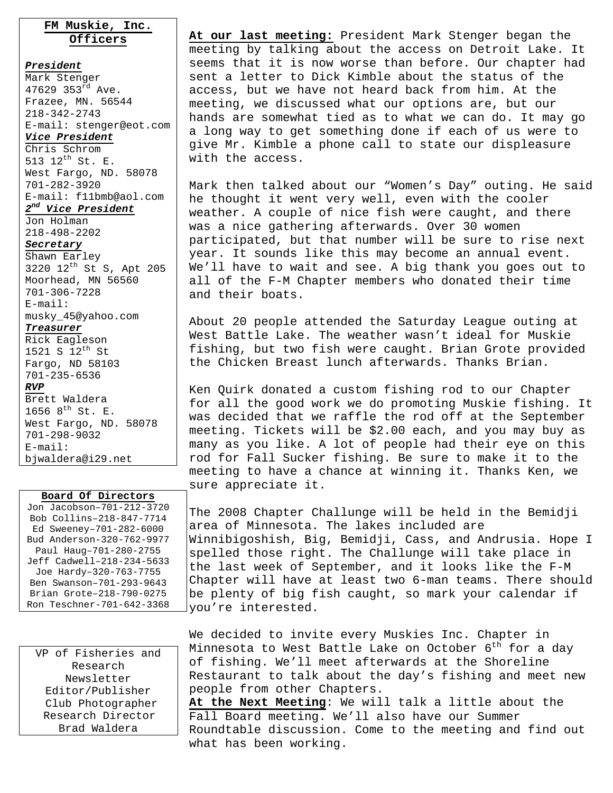## **FM Muskie, Inc. Officers**

*President* Mark Stenger 47629 353<sup>rd</sup> Ave. Frazee, MN. 56544 218-342-2743 E-mail: stenger@eot.com *Vice President* Chris Schrom 513 12<sup>th</sup> St. E. West Fargo, ND. 58078 701-282-3920 E-mail: f11bmb@aol.com *2nd Vice President* Jon Holman 218-498-2202

#### *Secretary*

Shawn Earley 3220 12th St S, Apt 205 Moorhead, MN 56560 701-306-7228 E-mail: musky\_45@yahoo.com *Treasurer* Rick Eagleson 1521 S 12<sup>th</sup> St Fargo, ND 58103 701-235-6536 *RVP* Brett Waldera 1656  $8^{th}$  St. E. West Fargo, ND. 58078 701-298-9032 E-mail:

#### **Board Of Directors**

bjwaldera@i29.net

Jon Jacobson–701-212-3720 Bob Collins–218-847-7714 Ed Sweeney–701-282-6000 Bud Anderson-320-762-9977 Paul Haug–701-280-2755 Jeff Cadwell–218-234-5633 Joe Hardy–320-763-7755 Ben Swanson–701-293-9643 Brian Grote–218-790-0275 Ron Teschner-701-642-3368

VP of Fisheries and Research Newsletter Editor/Publisher Club Photographer Research Director Brad Waldera

**At our last meeting:** President Mark Stenger began the meeting by talking about the access on Detroit Lake. It seems that it is now worse than before. Our chapter had sent a letter to Dick Kimble about the status of the access, but we have not heard back from him. At the meeting, we discussed what our options are, but our hands are somewhat tied as to what we can do. It may go a long way to get something done if each of us were to give Mr. Kimble a phone call to state our displeasure with the access.

Mark then talked about our "Women's Day" outing. He said he thought it went very well, even with the cooler weather. A couple of nice fish were caught, and there was a nice gathering afterwards. Over 30 women participated, but that number will be sure to rise next year. It sounds like this may become an annual event. We'll have to wait and see. A big thank you goes out to all of the F-M Chapter members who donated their time and their boats.

About 20 people attended the Saturday League outing at West Battle Lake. The weather wasn't ideal for Muskie fishing, but two fish were caught. Brian Grote provided the Chicken Breast lunch afterwards. Thanks Brian.

Ken Quirk donated a custom fishing rod to our Chapter for all the good work we do promoting Muskie fishing. It was decided that we raffle the rod off at the September meeting. Tickets will be \$2.00 each, and you may buy as many as you like. A lot of people had their eye on this rod for Fall Sucker fishing. Be sure to make it to the meeting to have a chance at winning it. Thanks Ken, we sure appreciate it.

The 2008 Chapter Challunge will be held in the Bemidji area of Minnesota. The lakes included are Winnibigoshish, Big, Bemidji, Cass, and Andrusia. Hope I spelled those right. The Challunge will take place in the last week of September, and it looks like the F-M Chapter will have at least two 6-man teams. There should be plenty of big fish caught, so mark your calendar if you're interested.

We decided to invite every Muskies Inc. Chapter in Minnesota to West Battle Lake on October  $6<sup>th</sup>$  for a day of fishing. We'll meet afterwards at the Shoreline Restaurant to talk about the day's fishing and meet new people from other Chapters. **At the Next Meeting**: We will talk a little about the Fall Board meeting. We'll also have our Summer Roundtable discussion. Come to the meeting and find out

what has been working.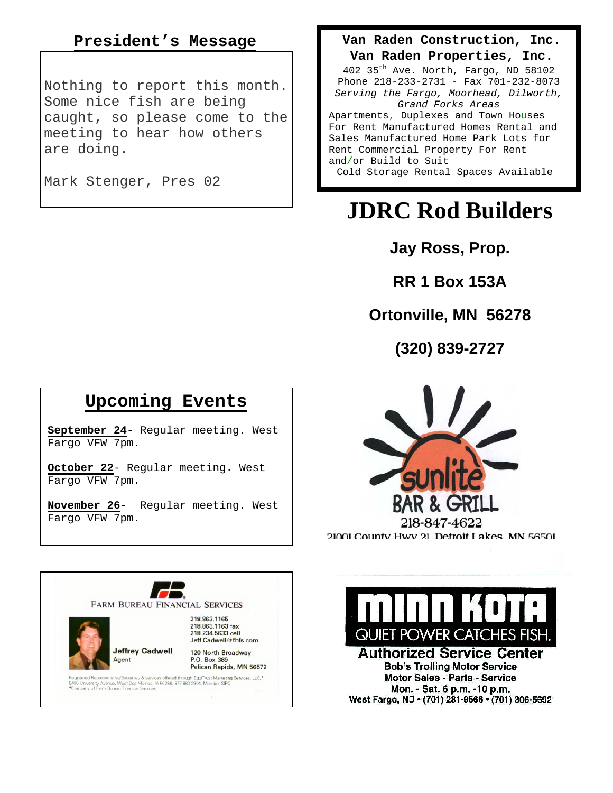## **President's Message**

Nothing to report this month. Some nice fish are being caught, so please come to the meeting to hear how others are doing.

Mark Stenger, Pres 02

## **Van Raden Construction, Inc.**

**Van Raden Properties, Inc.** 

402 35th Ave. North, Fargo, ND 58102 Phone 218-233-2731 - Fax 701-232-8073 *Serving the Fargo, Moorhead, Dilworth, Grand Forks Areas* Apartments, Duplexes and Town Houses For Rent Manufactured Homes Rental and Sales Manufactured Home Park Lots for Rent Commercial Property For Rent and/or Build to Suit Cold Storage Rental Spaces Available

# **JDRC Rod Builders**

**Jay Ross, Prop.** 

**RR 1 Box 153A** 

# **Ortonville, MN 56278**

**(320) 839-2727**

## **Upcoming Events**

**September 24**- Regular meeting. West Fargo VFW 7pm.

**October 22**- Regular meeting. West Fargo VFW 7pm.

**November 26**- Regular meeting. West Fargo VFW 7pm.





QUIET POWER CATCHES FISH **Authorized Service Center Bob's Trolling Motor Service** 

Motor Sales - Parts - Service Mon. - Sat. 6 p.m. -10 p.m. West Fargo, ND · (701) 281-9566 · (701) 306-5692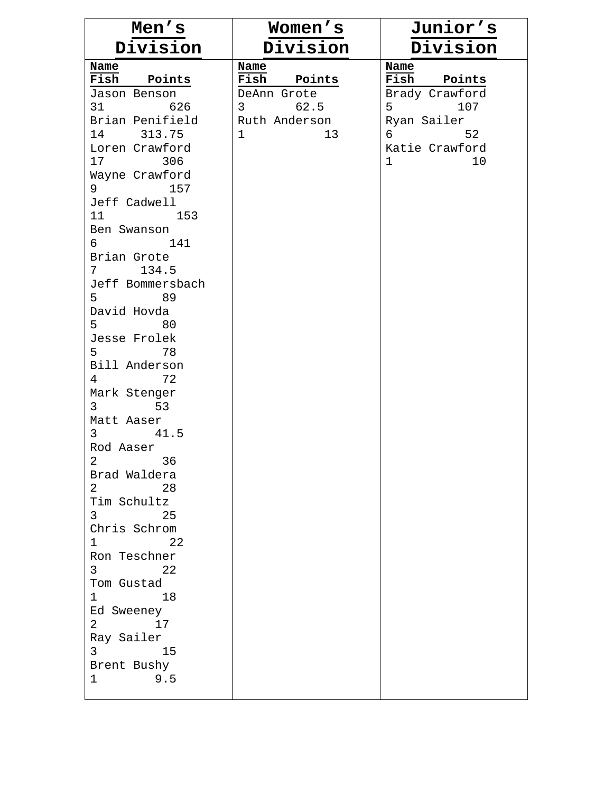| Men's                                              | Women's                                | Junior's              |
|----------------------------------------------------|----------------------------------------|-----------------------|
| Division                                           | Division                               | Division              |
| Name                                               | Name                                   | Name                  |
| Fish Points                                        | Fish Points                            | Fish Points           |
| Jason Benson                                       | DeAnn Grote                            | Brady Crawford        |
| 31 626                                             | $3 \left( \frac{1}{2} \right)$<br>62.5 | 5 <sub>5</sub><br>107 |
| Brian Penifield                                    | Ruth Anderson                          | Ryan Sailer           |
| 14 313.75                                          | $\mathbf{1}$<br>13                     | $6\degree$<br>52      |
| Loren Crawford                                     |                                        | Katie Crawford        |
| 17 306                                             |                                        | $\mathbf 1$<br>10     |
| Wayne Crawford                                     |                                        |                       |
| $9 \left( \frac{1}{2} \right)$<br>157              |                                        |                       |
| Jeff Cadwell<br>11 153                             |                                        |                       |
| Ben Swanson                                        |                                        |                       |
| 6<br>141                                           |                                        |                       |
| Brian Grote                                        |                                        |                       |
| $7 \t134.5$                                        |                                        |                       |
| Jeff Bommersbach                                   |                                        |                       |
| 5 <sub>5</sub><br>89                               |                                        |                       |
| David Hovda                                        |                                        |                       |
| 5<br>80                                            |                                        |                       |
| Jesse Frolek                                       |                                        |                       |
| 5 <sub>5</sub><br>78                               |                                        |                       |
| Bill Anderson                                      |                                        |                       |
| 72<br>4                                            |                                        |                       |
| Mark Stenger                                       |                                        |                       |
| 3<br>53                                            |                                        |                       |
| Matt Aaser                                         |                                        |                       |
| $3 \left( \frac{1}{2} \right)$<br>41.5             |                                        |                       |
| Rod Aaser                                          |                                        |                       |
| $\overline{2}$<br>36                               |                                        |                       |
| Brad Waldera                                       |                                        |                       |
| 28<br>$\overline{2}$                               |                                        |                       |
| Tim Schultz                                        |                                        |                       |
| $3 \left( \frac{1}{2} \right)$<br>25               |                                        |                       |
| Chris Schrom                                       |                                        |                       |
| $1 \t 22$                                          |                                        |                       |
| Ron Teschner                                       |                                        |                       |
| 3 <sup>7</sup><br>$\sim$ 22                        |                                        |                       |
| Tom Gustad                                         |                                        |                       |
| $1 \qquad \qquad 18$                               |                                        |                       |
| Ed Sweeney<br>$2 \left( \frac{1}{2} \right)$<br>17 |                                        |                       |
| Ray Sailer                                         |                                        |                       |
| $3 \left( \frac{1}{2} \right)$<br>15               |                                        |                       |
| Brent Bushy                                        |                                        |                       |
| 9.5<br>$\mathbf{1}$                                |                                        |                       |
|                                                    |                                        |                       |